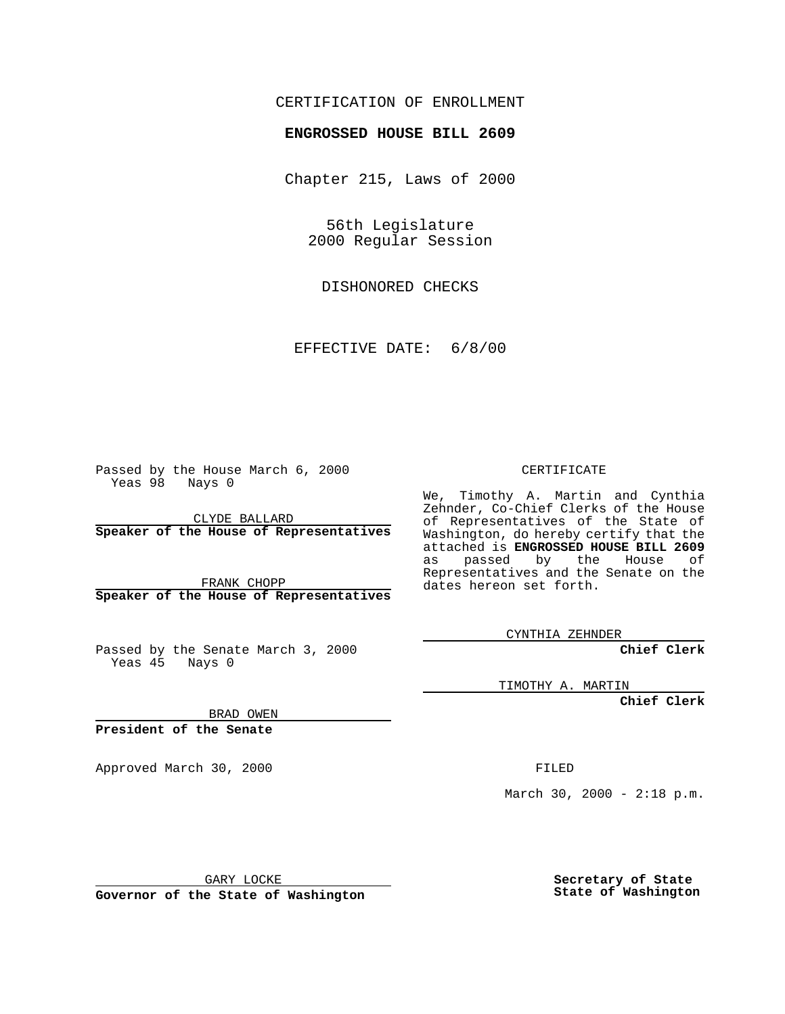## CERTIFICATION OF ENROLLMENT

## **ENGROSSED HOUSE BILL 2609**

Chapter 215, Laws of 2000

56th Legislature 2000 Regular Session

DISHONORED CHECKS

EFFECTIVE DATE: 6/8/00

Passed by the House March 6, 2000 Yeas 98 Nays 0

CLYDE BALLARD **Speaker of the House of Representatives**

FRANK CHOPP **Speaker of the House of Representatives**

Passed by the Senate March 3, 2000 Yeas 45 Nays 0

CERTIFICATE

We, Timothy A. Martin and Cynthia Zehnder, Co-Chief Clerks of the House of Representatives of the State of Washington, do hereby certify that the attached is **ENGROSSED HOUSE BILL 2609** as passed by the House of Representatives and the Senate on the dates hereon set forth.

CYNTHIA ZEHNDER

**Chief Clerk**

TIMOTHY A. MARTIN

**Chief Clerk**

BRAD OWEN

**President of the Senate**

Approved March 30, 2000 FILED

March 30, 2000 - 2:18 p.m.

GARY LOCKE

**Governor of the State of Washington**

**Secretary of State State of Washington**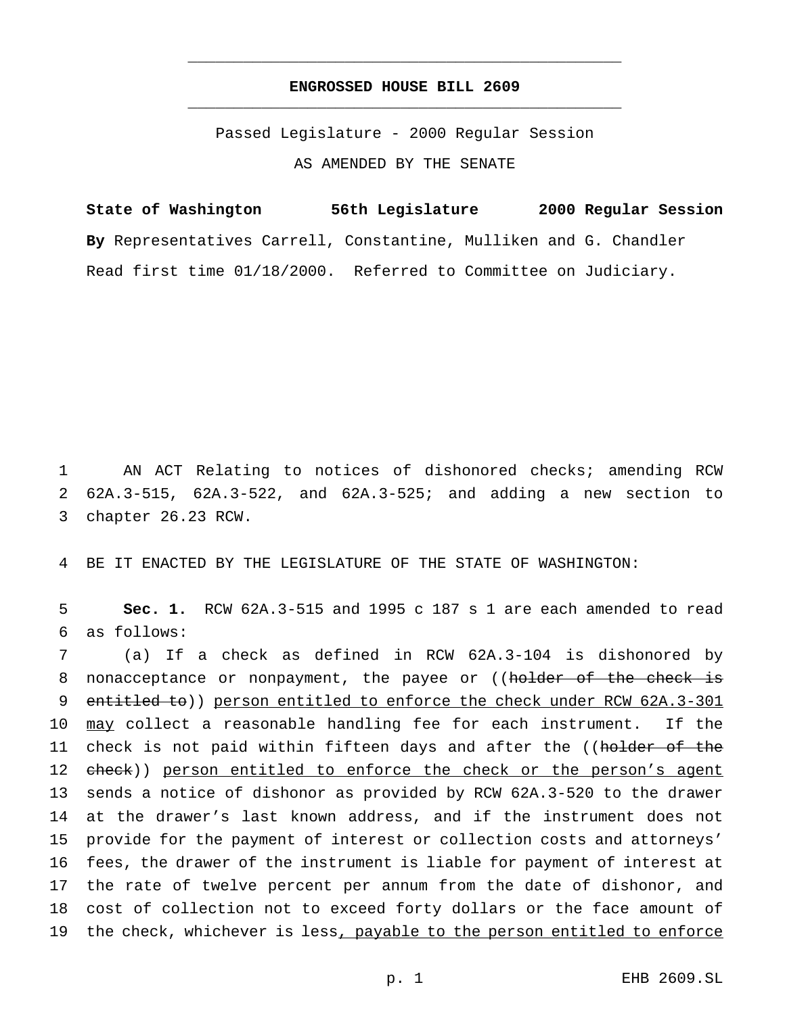## **ENGROSSED HOUSE BILL 2609** \_\_\_\_\_\_\_\_\_\_\_\_\_\_\_\_\_\_\_\_\_\_\_\_\_\_\_\_\_\_\_\_\_\_\_\_\_\_\_\_\_\_\_\_\_\_\_

\_\_\_\_\_\_\_\_\_\_\_\_\_\_\_\_\_\_\_\_\_\_\_\_\_\_\_\_\_\_\_\_\_\_\_\_\_\_\_\_\_\_\_\_\_\_\_

Passed Legislature - 2000 Regular Session AS AMENDED BY THE SENATE

**State of Washington 56th Legislature 2000 Regular Session By** Representatives Carrell, Constantine, Mulliken and G. Chandler Read first time 01/18/2000. Referred to Committee on Judiciary.

1 AN ACT Relating to notices of dishonored checks; amending RCW 2 62A.3-515, 62A.3-522, and 62A.3-525; and adding a new section to 3 chapter 26.23 RCW.

4 BE IT ENACTED BY THE LEGISLATURE OF THE STATE OF WASHINGTON:

5 **Sec. 1.** RCW 62A.3-515 and 1995 c 187 s 1 are each amended to read 6 as follows:

7 (a) If a check as defined in RCW 62A.3-104 is dishonored by 8 nonacceptance or nonpayment, the payee or ((holder of the check is 9 entitled to)) person entitled to enforce the check under RCW 62A.3-301 10 may collect a reasonable handling fee for each instrument. If the 11 check is not paid within fifteen days and after the ((holder of the 12 check)) person entitled to enforce the check or the person's agent 13 sends a notice of dishonor as provided by RCW 62A.3-520 to the drawer 14 at the drawer's last known address, and if the instrument does not 15 provide for the payment of interest or collection costs and attorneys' 16 fees, the drawer of the instrument is liable for payment of interest at 17 the rate of twelve percent per annum from the date of dishonor, and 18 cost of collection not to exceed forty dollars or the face amount of 19 the check, whichever is less, payable to the person entitled to enforce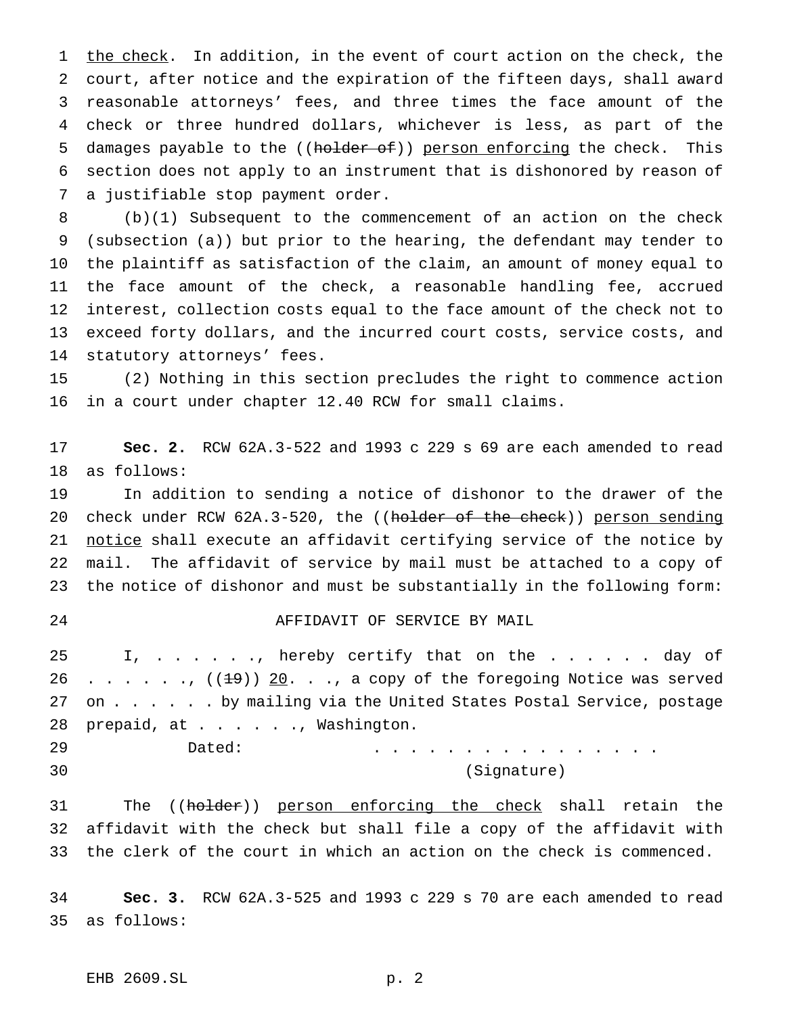1 the check. In addition, in the event of court action on the check, the court, after notice and the expiration of the fifteen days, shall award reasonable attorneys' fees, and three times the face amount of the check or three hundred dollars, whichever is less, as part of the 5 damages payable to the ((holder of)) person enforcing the check. This section does not apply to an instrument that is dishonored by reason of a justifiable stop payment order.

 (b)(1) Subsequent to the commencement of an action on the check (subsection (a)) but prior to the hearing, the defendant may tender to the plaintiff as satisfaction of the claim, an amount of money equal to the face amount of the check, a reasonable handling fee, accrued interest, collection costs equal to the face amount of the check not to exceed forty dollars, and the incurred court costs, service costs, and statutory attorneys' fees.

 (2) Nothing in this section precludes the right to commence action in a court under chapter 12.40 RCW for small claims.

 **Sec. 2.** RCW 62A.3-522 and 1993 c 229 s 69 are each amended to read as follows:

 In addition to sending a notice of dishonor to the drawer of the 20 check under RCW 62A.3-520, the ((holder of the check)) person sending 21 notice shall execute an affidavit certifying service of the notice by mail. The affidavit of service by mail must be attached to a copy of the notice of dishonor and must be substantially in the following form:

## AFFIDAVIT OF SERVICE BY MAIL

 I, . . . . . ., hereby certify that on the . . . . . . day of 26 . . . . . .,  $((19))$  20. . ., a copy of the foregoing Notice was served 27 on . . . . . by mailing via the United States Postal Service, postage 28 prepaid, at . . . . . ., Washington.

 Dated: ................ (Signature)

31 The ((holder)) person enforcing the check shall retain the affidavit with the check but shall file a copy of the affidavit with the clerk of the court in which an action on the check is commenced.

 **Sec. 3.** RCW 62A.3-525 and 1993 c 229 s 70 are each amended to read as follows: